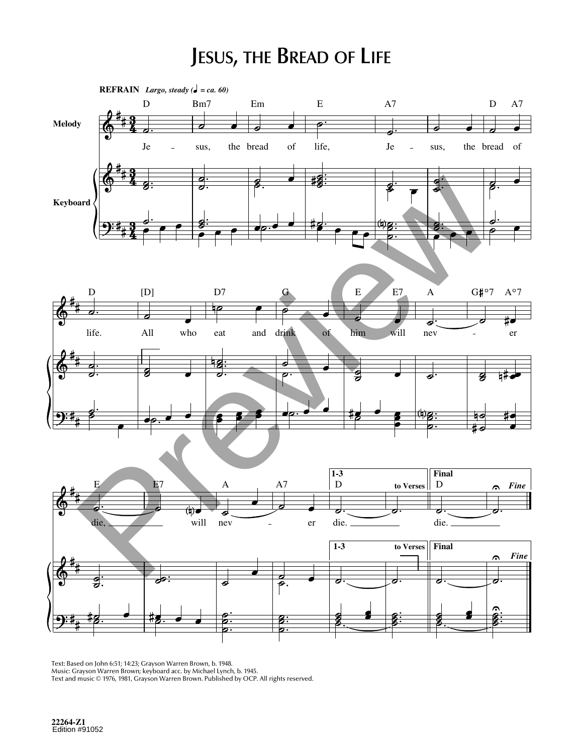## **JESUS, THE BREAD OF LIFE**



Text: Based on John 6:51; 14:23; Grayson Warren Brown, b. 1948. Music: Grayson Warren Brown; keyboard acc. by Michael Lynch, b. 1945. Text and music © 1976, 1981, Grayson Warren Brown. Published by OCP. All rights reserved.